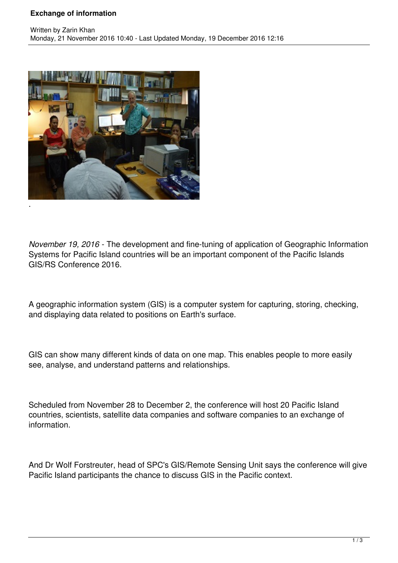## **Exchange of information**



*November 19, 2016 -* The development and fine-tuning of application of Geographic Information Systems for Pacific Island countries will be an important component of the Pacific Islands GIS/RS Conference 2016.

A geographic information system (GIS) is a computer system for capturing, storing, checking, and displaying data related to positions on Earth's surface.

GIS can show many different kinds of data on one map. This enables people to more easily see, analyse, and understand patterns and relationships.

Scheduled from November 28 to December 2, the conference will host 20 Pacific Island countries, scientists, satellite data companies and software companies to an exchange of information.

And Dr Wolf Forstreuter, head of SPC's GIS/Remote Sensing Unit says the conference will give Pacific Island participants the chance to discuss GIS in the Pacific context.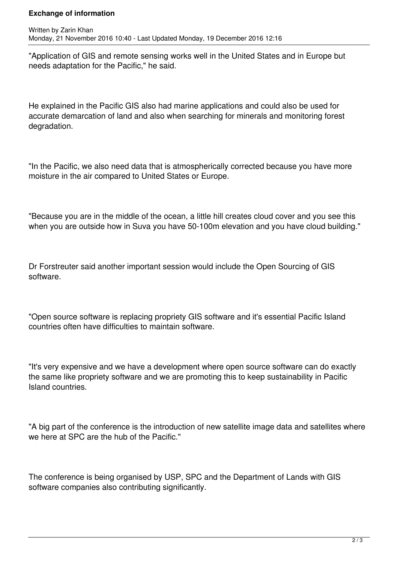## **Exchange of information**

"Application of GIS and remote sensing works well in the United States and in Europe but needs adaptation for the Pacific," he said.

He explained in the Pacific GIS also had marine applications and could also be used for accurate demarcation of land and also when searching for minerals and monitoring forest degradation.

"In the Pacific, we also need data that is atmospherically corrected because you have more moisture in the air compared to United States or Europe.

"Because you are in the middle of the ocean, a little hill creates cloud cover and you see this when you are outside how in Suva you have 50-100m elevation and you have cloud building."

Dr Forstreuter said another important session would include the Open Sourcing of GIS software.

"Open source software is replacing propriety GIS software and it's essential Pacific Island countries often have difficulties to maintain software.

"It's very expensive and we have a development where open source software can do exactly the same like propriety software and we are promoting this to keep sustainability in Pacific Island countries.

"A big part of the conference is the introduction of new satellite image data and satellites where we here at SPC are the hub of the Pacific."

The conference is being organised by USP, SPC and the Department of Lands with GIS software companies also contributing significantly.